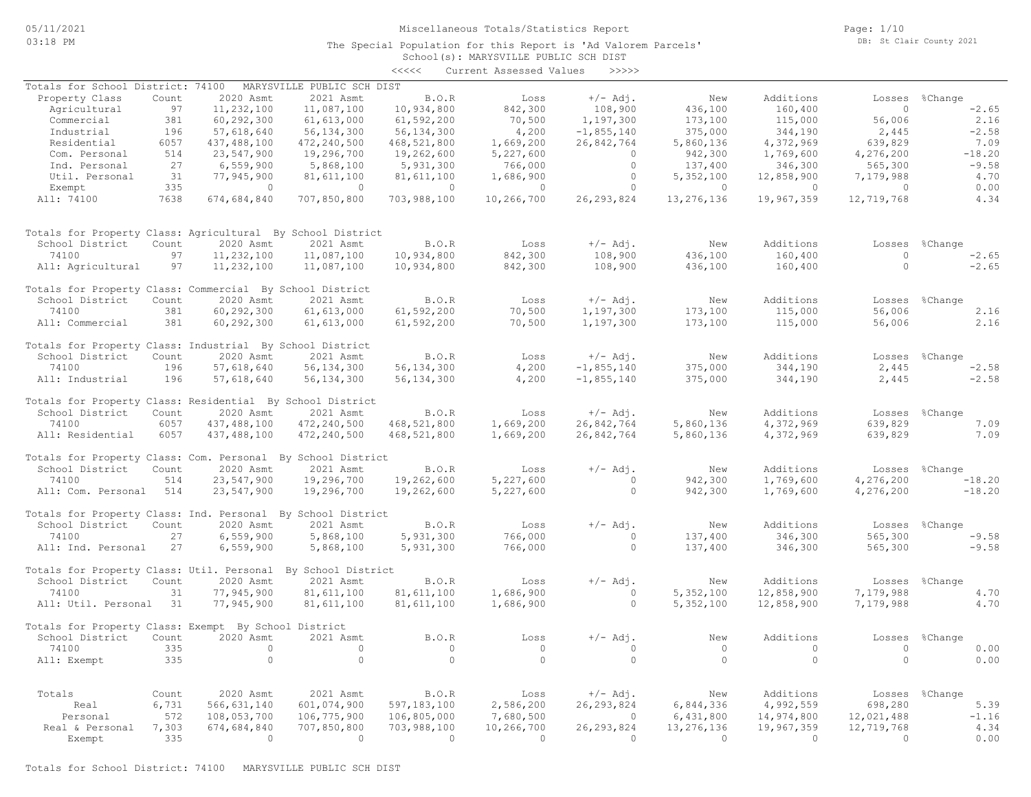The Special Population for this Report is 'Ad Valorem Parcels'

Page: 1/10 DB: St Clair County 2021

# School(s): MARYSVILLE PUBLIC SCH DIST <<<<< Current Assessed Values >>>>> Real & Personal 7,303 674,684,840 707,850,800 703,988,100 10,266,700 26,293,824 13,276,136 19,967,359 12,719,768 4.34 Personal 572 108,053,700 106,775,900 106,805,000 7,680,500 0 6,431,800 14,974,800 12,021,488 -1.16 Real 6,731 566,631,140 601,074,900 597,183,100 2,586,200 26,293,824 6,844,336 4,992,559 698,280 5.39 Totals Count 2020 Asmt 2021 Asmt B.O.R Loss +/- Adj. New Additions Losses %Change All: Exempt 335 0 0 0 0 0 0 0 0 0.00 74100 335 0 0 0 0 0 0 0 0 0.00 School District Count 2020 Asmt 2021 Asmt B.O.R Loss +/-Adj. New Additions Losses %Change Totals for Property Class: Exempt By School District All: Util. Personal 31 77,945,900 81,611,100 81,611,100 1,686,900 0 5,352,100 12,858,900 7,179,988 4.70 74100 31 77,945,900 81,611,100 81,611,100 1,686,900 0 5,352,100 12,858,900 7,179,988 4.70 School District Count 2020 Asmt 2021 Asmt B.O.R Loss +/-Adj. New Additions Losses %Change Totals for Property Class: Util. Personal By School District All: Ind. Personal 27 6,559,900 5,868,100 5,931,300 766,000 0 137,400 346,300 565,300 -9.58 74100 27 6,559,900 5,868,100 5,931,300 766,000 0 137,400 346,300 565,300 -9.58 School District Count 2020 Asmt 2021 Asmt B.O.R Loss  $+/-$  Adj. New Additions Losses %Change<br>74100 27 6.559.900 5.868.100 5.931.300 766.000 0 137.400 346.300 565.300 -9.58 Totals for Property Class: Ind. Personal By School District All: Com. Personal 514 23,547,900 19,296,700 19,262,600 5,227,600 0 942,300 1,769,600 4,276,200 -18.20 74100 514 23,547,900 19,296,700 19,262,600 5,227,600 0 942,300 1,769,600 4,276,200 -18.20 School District Count 2020 Asmt 2021 Asmt B.O.R Loss +/- Adj. New Additions Losses %Change Totals for Property Class: Com. Personal By School District All: Residential 6057 437,488,100 472,240,500 468,521,800 1,669,200 26,842,764 5,860,136 4,372,969 639,829 7.09 74100 6057 437,488,100 472,240,500 468,521,800 1,669,200 26,842,764 5,860,136 4,372,969 639,829 7.09 School District Count 2020 Asmt 2021 Asmt B.O.R Loss +/- Adj. New Additions Losses %Change Totals for Property Class: Residential By School District All: Industrial 196 57,618,640 56,134,300 56,134,300 4,200 -1,855,140 375,000 344,190 2,445 -2.58 74100 196 57,618,640 56,134,300 56,134,300 4,200 -1,855,140 375,000 344,190 2,445 -2.58 School District Count 2020 Asmt 2021 Asmt B.O.R Loss +/-Adj. New Additions Losses %Change Totals for Property Class: Industrial By School District All: Commercial 381 60,292,300 61,613,000 61,592,200 70,500 1,197,300 173,100 115,000 56,006 2.16 74100 381 60,292,300 61,613,000 61,592,200 70,500 1,197,300 173,100 115,000 56,006 2.16 School District Count 2020 Asmt 2021 Asmt B.O.R Loss +/-Adj. New Additions Losses %Change Totals for Property Class: Commercial By School District All: Agricultural 97 11,232,100 11,087,100 10,934,800 842,300 108,900 436,100 160,400 0 -2.65 74100 97 11,232,100 11,087,100 10,934,800 842,300 108,900 436,100 160,400 0 -2.65 School District Count 2020 Asmt 2021 Asmt B.O.R Loss +/-Adj. New Additions Losses %Change Totals for Property Class: Agricultural By School District All: 74100 7638 674,684,840 707,850,800 703,988,100 10,266,700 26,293,824 13,276,136 19,967,359 12,719,768 4.34 Exempt 335 0 0 0 0 0 0 0 0 0.00 Util. Personal 31 77,945,900 81,611,100 81,611,100 1,686,900 0 5,352,100 12,858,900 7,179,988 4.70 Ind. Personal 27 6,559,900 5,868,100 5,931,300 766,000 0 137,400 346,300 565,300 -9.58 Com. Personal 514 23,547,900 19,296,700 19,262,600 5,227,600 0 942,300 1,769,600 4,276,200 -18.20 Residential 6057 437,488,100 472,240,500 468,521,800 1,669,200 26,842,764 5,860,136 4,372,969 639,829 7.09 Industrial 196 57,618,640 56,134,300 56,134,300 4,200 -1,855,140 375,000 344,190 2,445 -2.58 Commercial 381 60,292,300 61,613,000 61,592,200 70,500 1,197,300 173,100 115,000 56,006 2.16 Agricultural 97 11,232,100 11,087,100 10,934,800 842,300 108,900 436,100 160,400 0 -2.65 Property Class Count 2020 Asmt 2021 Asmt B.O.R Loss +/-Adj. New Additions Losses %Change Totals for School District: 74100 MARYSVILLE PUBLIC SCH DIST

Exempt 335 0 0 0 0 0 0 0 0 0.00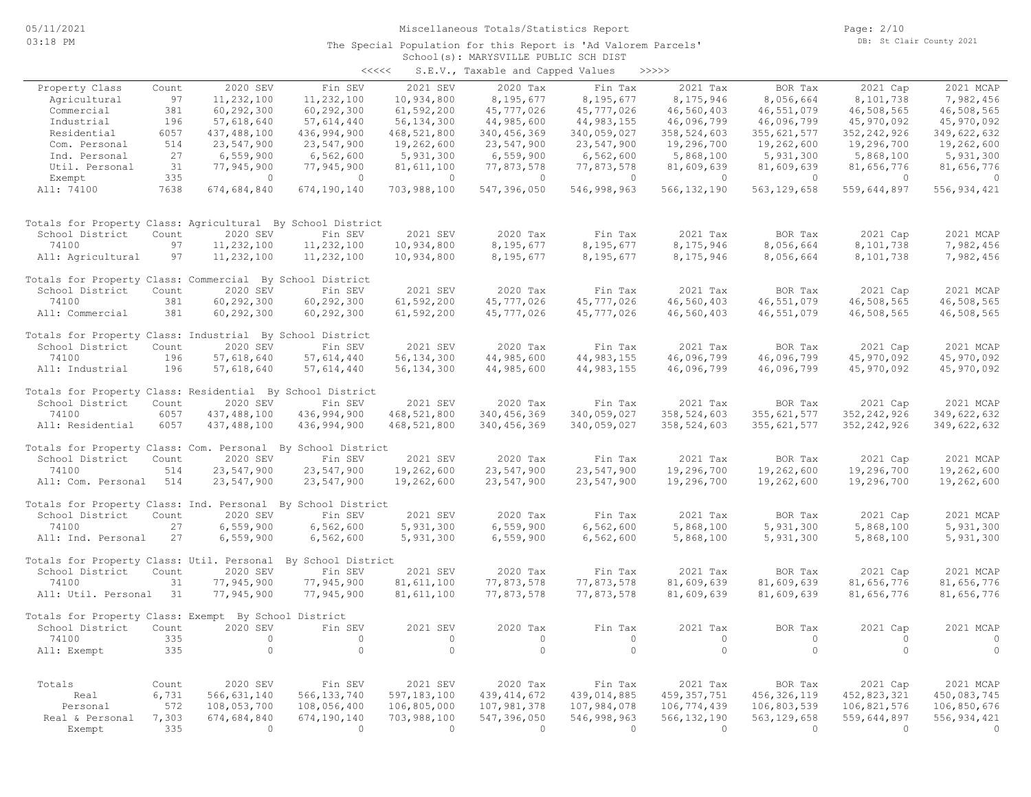Page: 2/10 DB: St Clair County 2021

### School(s): MARYSVILLE PUBLIC SCH DIST The Special Population for this Report is 'Ad Valorem Parcels'

| <<<< |  | S.E.V., Taxable and Capped Values |  | >>>>> |
|------|--|-----------------------------------|--|-------|
|------|--|-----------------------------------|--|-------|

|                                                             |       |               |                    |               | $5.2.7.7$ candidate and capped |              |               |                |               |               |
|-------------------------------------------------------------|-------|---------------|--------------------|---------------|--------------------------------|--------------|---------------|----------------|---------------|---------------|
| Property Class                                              | Count | 2020 SEV      | Fin SEV            | 2021 SEV      | 2020 Tax                       | Fin Tax      | 2021 Tax      | BOR Tax        | 2021 Cap      | 2021 MCAP     |
| Agricultural                                                | 97    | 11,232,100    | 11,232,100         | 10,934,800    | 8,195,677                      | 8,195,677    | 8,175,946     | 8,056,664      | 8,101,738     | 7,982,456     |
| Commercial                                                  | 381   | 60, 292, 300  | 60, 292, 300       | 61,592,200    | 45,777,026                     | 45,777,026   | 46,560,403    | 46,551,079     | 46,508,565    | 46,508,565    |
| Industrial                                                  | 196   | 57,618,640    | 57,614,440         | 56, 134, 300  | 44,985,600                     | 44, 983, 155 | 46,096,799    | 46,096,799     | 45,970,092    | 45,970,092    |
| Residential                                                 | 6057  |               | 436,994,900        |               | 340, 456, 369                  |              | 358,524,603   |                |               |               |
|                                                             |       | 437,488,100   |                    | 468,521,800   |                                | 340,059,027  |               | 355, 621, 577  | 352, 242, 926 | 349,622,632   |
| Com. Personal                                               | 514   | 23,547,900    | 23,547,900         | 19,262,600    | 23,547,900                     | 23,547,900   | 19,296,700    | 19,262,600     | 19,296,700    | 19,262,600    |
| Ind. Personal                                               | 27    | 6,559,900     | 6,562,600          | 5,931,300     | 6,559,900                      | 6,562,600    | 5,868,100     | 5,931,300      | 5,868,100     | 5,931,300     |
| Util. Personal                                              | 31    | 77,945,900    | 77,945,900         | 81,611,100    | 77,873,578                     | 77,873,578   | 81,609,639    | 81,609,639     | 81,656,776    | 81,656,776    |
| Exempt                                                      | 335   | $\circ$       | $\circ$            | $\circ$       | $\circ$                        | $\circ$      | $\circ$       | $\overline{0}$ | $\mathbf{0}$  | $\circ$       |
| All: 74100                                                  | 7638  | 674,684,840   | 674,190,140        | 703,988,100   | 547,396,050                    | 546,998,963  | 566, 132, 190 | 563, 129, 658  | 559,644,897   | 556, 934, 421 |
|                                                             |       |               |                    |               |                                |              |               |                |               |               |
| Totals for Property Class: Agricultural By School District  |       |               |                    |               |                                |              |               |                |               |               |
| School District                                             | Count | 2020 SEV      | Fin SEV            | 2021 SEV      | 2020 Tax                       | Fin Tax      | 2021 Tax      | BOR Tax        | 2021 Cap      | 2021 MCAP     |
| 74100                                                       | 97    | 11,232,100    | 11,232,100         | 10,934,800    | 8,195,677                      | 8,195,677    | 8,175,946     | 8,056,664      | 8,101,738     | 7,982,456     |
| All: Agricultural                                           | 97    | 11,232,100    | 11,232,100         | 10,934,800    | 8,195,677                      | 8,195,677    | 8,175,946     | 8,056,664      | 8,101,738     | 7,982,456     |
| Totals for Property Class: Commercial By School District    |       |               |                    |               |                                |              |               |                |               |               |
| School District                                             | Count | 2020 SEV      | Fin SEV            | 2021 SEV      | 2020 Tax                       | Fin Tax      | 2021 Tax      | BOR Tax        | 2021 Cap      | 2021 MCAP     |
| 74100                                                       | 381   | 60,292,300    | 60,292,300         | 61,592,200    | 45,777,026                     | 45,777,026   | 46,560,403    | 46,551,079     | 46,508,565    | 46,508,565    |
| All: Commercial                                             | 381   | 60,292,300    | 60,292,300         | 61,592,200    | 45,777,026                     | 45,777,026   | 46,560,403    | 46,551,079     | 46,508,565    | 46,508,565    |
| Totals for Property Class: Industrial By School District    |       |               |                    |               |                                |              |               |                |               |               |
| School District                                             | Count | 2020 SEV      | Fin SEV            | 2021 SEV      | 2020 Tax                       | Fin Tax      | 2021 Tax      | BOR Tax        | 2021 Cap      | 2021 MCAP     |
| 74100                                                       | 196   | 57,618,640    | 57,614,440         | 56, 134, 300  | 44,985,600                     | 44,983,155   | 46,096,799    | 46,096,799     | 45,970,092    | 45,970,092    |
| All: Industrial                                             | 196   | 57,618,640    | 57,614,440         | 56, 134, 300  | 44,985,600                     | 44, 983, 155 | 46,096,799    | 46,096,799     | 45,970,092    | 45,970,092    |
| Totals for Property Class: Residential By School District   |       |               |                    |               |                                |              |               |                |               |               |
| School District                                             | Count | 2020 SEV      | Fin SEV            | 2021 SEV      | 2020 Tax                       | Fin Tax      | 2021 Tax      | BOR Tax        | 2021 Cap      | 2021 MCAP     |
| 74100                                                       | 6057  | 437,488,100   | 436,994,900        | 468,521,800   | 340,456,369                    | 340,059,027  | 358,524,603   | 355, 621, 577  | 352, 242, 926 | 349,622,632   |
| All: Residential                                            | 6057  | 437, 488, 100 | 436,994,900        | 468,521,800   | 340, 456, 369                  | 340,059,027  | 358,524,603   | 355,621,577    | 352, 242, 926 | 349,622,632   |
| Totals for Property Class: Com. Personal By School District |       |               |                    |               |                                |              |               |                |               |               |
| School District                                             |       |               | Fin SEV            | 2021 SEV      | 2020 Tax                       |              | 2021 Tax      |                |               | 2021 MCAP     |
|                                                             | Count | 2020 SEV      |                    |               |                                | Fin Tax      |               | BOR Tax        | 2021 Cap      |               |
| 74100                                                       | 514   | 23,547,900    | 23,547,900         | 19,262,600    | 23,547,900                     | 23,547,900   | 19,296,700    | 19,262,600     | 19,296,700    | 19,262,600    |
| All: Com. Personal                                          | 514   | 23,547,900    | 23,547,900         | 19,262,600    | 23,547,900                     | 23,547,900   | 19,296,700    | 19,262,600     | 19,296,700    | 19,262,600    |
| Totals for Property Class: Ind. Personal By School District |       |               |                    |               |                                |              |               |                |               |               |
| School District                                             | Count | 2020 SEV      | Fin SEV            | 2021 SEV      | 2020 Tax                       | Fin Tax      | 2021 Tax      | BOR Tax        | 2021 Cap      | 2021 MCAP     |
| 74100                                                       | 27    | 6,559,900     | 6,562,600          | 5,931,300     | 6,559,900                      | 6,562,600    | 5,868,100     | 5,931,300      | 5,868,100     | 5,931,300     |
| All: Ind. Personal                                          | 27    | 6,559,900     | 6,562,600          | 5,931,300     | 6,559,900                      | 6,562,600    | 5,868,100     | 5,931,300      | 5,868,100     | 5,931,300     |
| Totals for Property Class: Util. Personal                   |       |               | By School District |               |                                |              |               |                |               |               |
| School District                                             | Count | 2020 SEV      | Fin SEV            | 2021 SEV      | 2020 Tax                       | Fin Tax      | 2021 Tax      | BOR Tax        | 2021 Cap      | 2021 MCAP     |
| 74100                                                       | 31    | 77,945,900    | 77,945,900         | 81,611,100    | 77,873,578                     | 77,873,578   | 81,609,639    | 81,609,639     | 81,656,776    | 81,656,776    |
| All: Util. Personal                                         | 31    | 77,945,900    | 77,945,900         | 81,611,100    | 77,873,578                     | 77,873,578   | 81,609,639    | 81,609,639     | 81,656,776    | 81,656,776    |
| Totals for Property Class: Exempt By School District        |       |               |                    |               |                                |              |               |                |               |               |
| School District                                             | Count | 2020 SEV      | Fin SEV            | 2021 SEV      | 2020 Tax                       | Fin Tax      | 2021 Tax      | BOR Tax        | 2021 Cap      | 2021 MCAP     |
| 74100                                                       | 335   | $\circ$       | $\circ$            | $\circ$       | $\circ$                        | $\circ$      | $\circ$       | $\circ$        | $\circ$       | $\circ$       |
|                                                             |       | $\circ$       | $\circ$            | $\circ$       | $\circ$                        | $\circ$      | $\circ$       | $\circ$        | $\circ$       | $\circ$       |
| All: Exempt                                                 | 335   |               |                    |               |                                |              |               |                |               |               |
| Totals                                                      | Count | 2020 SEV      | Fin SEV            | 2021 SEV      | 2020 Tax                       | Fin Tax      | 2021 Tax      | BOR Tax        |               | 2021 MCAP     |
|                                                             |       |               |                    |               |                                |              |               |                | 2021 Cap      |               |
| Real                                                        | 6,731 | 566,631,140   | 566, 133, 740      | 597, 183, 100 | 439, 414, 672                  | 439,014,885  | 459, 357, 751 | 456, 326, 119  | 452,823,321   | 450,083,745   |
| Personal                                                    | 572   | 108,053,700   | 108,056,400        | 106,805,000   | 107,981,378                    | 107,984,078  | 106,774,439   | 106,803,539    | 106,821,576   | 106,850,676   |
| Real & Personal                                             | 7,303 | 674,684,840   | 674,190,140        | 703,988,100   | 547,396,050                    | 546,998,963  | 566, 132, 190 | 563, 129, 658  | 559,644,897   | 556,934,421   |
| Exempt                                                      | 335   | $\bigcirc$    | $\Omega$           | $\bigcirc$    | $\Omega$                       | $\bigcirc$   | $\Omega$      | $\bigcirc$     | $\bigcirc$    | $\Omega$      |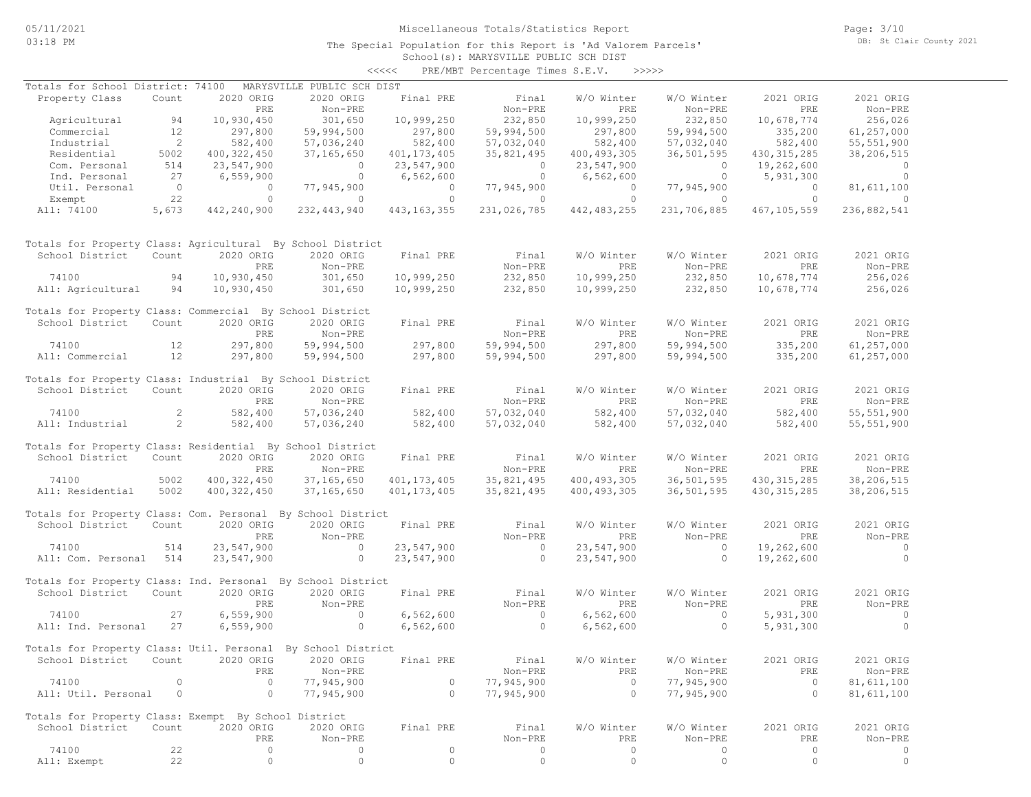The Special Population for this Report is 'Ad Valorem Parcels'

Page: 3/10 DB: St Clair County 2021

### School(s): MARYSVILLE PUBLIC SCH DIST <<<<< PRE/MBT Percentage Times S.E.V. >>>>>

| Totals for School District: 74100                            |                          |                | MARYSVILLE PUBLIC SCH DIST |                |                     |                |                |                |                |
|--------------------------------------------------------------|--------------------------|----------------|----------------------------|----------------|---------------------|----------------|----------------|----------------|----------------|
| Property Class                                               | Count                    | 2020 ORIG      | 2020 ORIG                  | Final PRE      | Final               | W/O Winter     | W/O Winter     | 2021 ORIG      | 2021 ORIG      |
|                                                              |                          | PRE            | Non-PRE                    |                | Non-PRE             | PRE            | Non-PRE        | PRE            | Non-PRE        |
| Agricultural                                                 | 94                       | 10,930,450     | 301,650                    | 10,999,250     | 232,850             | 10,999,250     | 232,850        | 10,678,774     | 256,026        |
| Commercial                                                   | 12                       | 297,800        | 59,994,500                 | 297,800        | 59,994,500          | 297,800        | 59,994,500     | 335,200        | 61,257,000     |
| Industrial                                                   | $\overline{\phantom{0}}$ | 582,400        |                            | 582,400        |                     |                | 57,032,040     | 582,400        |                |
|                                                              |                          |                | 57,036,240                 |                | 57,032,040          | 582,400        |                |                | 55, 551, 900   |
| Residential                                                  | 5002                     | 400, 322, 450  | 37,165,650                 | 401, 173, 405  | 35,821,495          | 400, 493, 305  | 36,501,595     | 430, 315, 285  | 38,206,515     |
| Com. Personal                                                | 514                      | 23,547,900     | $\overline{0}$             | 23,547,900     | $\circ$             | 23,547,900     | $\overline{0}$ | 19,262,600     | $\circ$        |
| Ind. Personal                                                | 27                       | 6,559,900      | $\overline{0}$             | 6,562,600      | $\overline{0}$      | 6,562,600      | $\overline{0}$ | 5,931,300      | $\mathbf{0}$   |
| Util. Personal                                               | $\overline{0}$           | $\overline{0}$ | 77,945,900                 | $\overline{0}$ | 77,945,900          | $\overline{0}$ | 77,945,900     | $\overline{0}$ | 81,611,100     |
| Exempt                                                       | 22                       | $\circ$        | $\overline{0}$             | $\circ$        | $\circ$             | $\circ$        | $\overline{0}$ | $\Omega$       | $\Omega$       |
| All: 74100                                                   | 5,673                    | 442,240,900    | 232, 443, 940              | 443, 163, 355  | 231,026,785         | 442, 483, 255  | 231,706,885    | 467,105,559    | 236,882,541    |
| Totals for Property Class: Agricultural By School District   |                          |                |                            |                |                     |                |                |                |                |
| School District                                              | Count                    | 2020 ORIG      | 2020 ORIG                  | Final PRE      | Final               | W/O Winter     | W/O Winter     | 2021 ORIG      | 2021 ORIG      |
|                                                              |                          | PRE            | Non-PRE                    |                | Non-PRE             | PRE            | Non-PRE        | PRE            | Non-PRE        |
| 74100                                                        | 94                       | 10,930,450     | 301,650                    | 10,999,250     | 232,850             | 10,999,250     | 232,850        | 10,678,774     | 256,026        |
| All: Agricultural                                            | 94                       | 10,930,450     | 301,650                    | 10,999,250     | 232,850             | 10,999,250     | 232,850        | 10,678,774     | 256,026        |
| Totals for Property Class: Commercial By School District     |                          |                |                            |                |                     |                |                |                |                |
| School District                                              | Count                    | 2020 ORIG      | 2020 ORIG                  | Final PRE      | Final               | W/O Winter     | W/O Winter     | 2021 ORIG      | 2021 ORIG      |
|                                                              |                          | PRE            | Non-PRE                    |                | Non-PRE             | PRE            | Non-PRE        | PRE            | Non-PRE        |
| 74100                                                        | 12                       | 297,800        | 59,994,500                 | 297,800        | 59,994,500          | 297,800        | 59,994,500     | 335,200        | 61,257,000     |
| All: Commercial                                              | 12                       | 297,800        | 59,994,500                 | 297,800        | 59,994,500          | 297,800        | 59,994,500     | 335,200        | 61,257,000     |
|                                                              |                          |                |                            |                |                     |                |                |                |                |
| Totals for Property Class: Industrial By School District     |                          |                |                            |                |                     |                |                |                |                |
| School District                                              | Count                    | 2020 ORIG      | 2020 ORIG                  | Final PRE      | Final               | W/O Winter     | W/O Winter     | 2021 ORIG      | 2021 ORIG      |
|                                                              |                          | PRE            | Non-PRE                    |                | Non-PRE             | PRE            | Non-PRE        | PRE            | Non-PRE        |
| 74100                                                        | 2                        | 582,400        | 57,036,240                 | 582,400        | 57,032,040          | 582,400        | 57,032,040     | 582,400        | 55, 551, 900   |
| All: Industrial                                              | 2                        | 582,400        | 57,036,240                 | 582,400        | 57,032,040          | 582,400        | 57,032,040     | 582,400        | 55, 551, 900   |
|                                                              |                          |                |                            |                |                     |                |                |                |                |
| Totals for Property Class: Residential By School District    |                          |                |                            |                |                     |                |                |                |                |
| School District                                              | Count                    | 2020 ORIG      | 2020 ORIG                  | Final PRE      | Final               | W/O Winter     | W/O Winter     | 2021 ORIG      | 2021 ORIG      |
|                                                              |                          | PRE            | Non-PRE                    |                | Non-PRE             | PRE            | Non-PRE        | PRE            | Non-PRE        |
| 74100                                                        | 5002                     | 400, 322, 450  | 37, 165, 650               | 401, 173, 405  | 35,821,495          | 400, 493, 305  | 36,501,595     | 430, 315, 285  | 38,206,515     |
| All: Residential                                             | 5002                     | 400, 322, 450  | 37, 165, 650               | 401, 173, 405  | 35,821,495          | 400, 493, 305  | 36,501,595     | 430, 315, 285  | 38,206,515     |
| Totals for Property Class: Com. Personal By School District  |                          |                |                            |                |                     |                |                |                |                |
| School District                                              | Count                    | 2020 ORIG      | 2020 ORIG                  | Final PRE      | Final               | W/O Winter     | W/O Winter     | 2021 ORIG      | 2021 ORIG      |
|                                                              |                          |                |                            |                |                     |                |                |                | Non-PRE        |
|                                                              |                          | PRE            | Non-PRE                    |                | Non-PRE<br>$\sim$ 0 | PRE            | Non-PRE        | PRE            | $\overline{0}$ |
| 74100                                                        | 514                      | 23,547,900     | $\overline{0}$             | 23,547,900     |                     | 23,547,900     | $\overline{0}$ | 19,262,600     |                |
| All: Com. Personal 514                                       |                          | 23,547,900     | $\circ$                    | 23,547,900     | $\overline{0}$      | 23,547,900     | $\circ$        | 19,262,600     | $\circ$        |
| Totals for Property Class: Ind. Personal By School District  |                          |                |                            |                |                     |                |                |                |                |
| School District                                              | Count                    | 2020 ORIG      | 2020 ORIG                  | Final PRE      | Final               | W/O Winter     | W/O Winter     | 2021 ORIG      | 2021 ORIG      |
|                                                              |                          | PRE            | Non-PRE                    |                | Non-PRE             | PRE            | Non-PRE        | PRE            | Non-PRE        |
| 74100                                                        | 27                       | 6,559,900      | $\overline{0}$             | 6,562,600      | $\sim$ 0            | 6,562,600      | $\overline{0}$ | 5,931,300      | $\circ$        |
| All: Ind. Personal                                           | 27                       | 6,559,900      | $\circ$                    | 6,562,600      | $\circ$             | 6,562,600      | $\circ$        | 5,931,300      | $\Omega$       |
|                                                              |                          |                |                            |                |                     |                |                |                |                |
| Totals for Property Class: Util. Personal By School District |                          |                |                            |                |                     |                |                |                |                |
| School District Count 2020 ORIG 2020 ORIG                    |                          |                |                            | Final PRE      | Final               | W/O Winter     | W/O Winter     | 2021 ORIG      | 2021 ORIG      |
|                                                              |                          | PRE            | Non-PRE                    |                | Non-PRE             | PRE            | Non-PRE        | PRE            | Non-PRE        |
| 74100                                                        | $\circ$                  | $\circ$        | 77,945,900                 | $\circ$        | 77,945,900          | $\overline{0}$ | 77,945,900     | $\overline{0}$ | 81, 611, 100   |
| All: Util. Personal                                          | $\overline{0}$           | $\circ$        | 77,945,900                 | $\circ$        | 77,945,900          | $\overline{0}$ | 77,945,900     | $\circ$        | 81, 611, 100   |
|                                                              |                          |                |                            |                |                     |                |                |                |                |
| Totals for Property Class: Exempt By School District         |                          |                |                            |                |                     |                |                |                |                |
| School District                                              | Count                    | 2020 ORIG      | 2020 ORIG                  | Final PRE      | Final               | W/O Winter     | W/O Winter     | 2021 ORIG      | 2021 ORIG      |
|                                                              |                          | PRE            | Non-PRE                    |                | Non-PRE             | PRE            | Non-PRE        | PRE            | Non-PRE        |
| 74100                                                        | 22                       | $\circ$        | 0                          | $\circ$        | $\circ$             | $\circ$        | 0              | $\circ$        | 0              |
| All: Exempt                                                  | 22                       | $\circ$        | $\circ$                    | $\circ$        | $\circ$             | 0              | $\circ$        | $\circ$        | $\circ$        |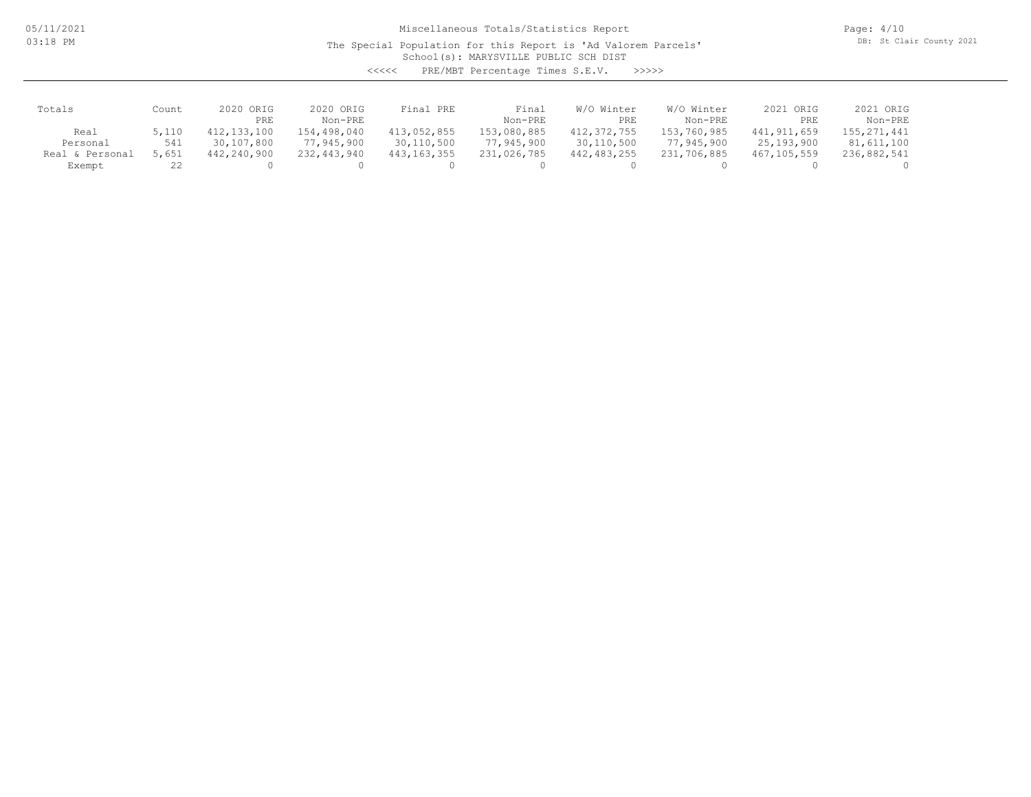05/11/2021 03:18 PM

# Miscellaneous Totals/Statistics Report

The Special Population for this Report is 'Ad Valorem Parcels'

Page: 4/10 DB: St Clair County 2021

School(s): MARYSVILLE PUBLIC SCH DIST

| くくくくく | PRE/MBT Percentage Times S.E.V. |  |  | >>>>> |
|-------|---------------------------------|--|--|-------|
|-------|---------------------------------|--|--|-------|

| Totals          | Count | 2020 ORIG   | 2020 ORIG   | Final PRE     | Final       | W/O Winter  | W/O Winter  | 2021 ORIG     | 2021 ORIG     |
|-----------------|-------|-------------|-------------|---------------|-------------|-------------|-------------|---------------|---------------|
|                 |       | PRE         | Non-PRE     |               | Non-PRE     | PRE         | Non-PRE     | PRE           | Non-PRE       |
| Real            | 5,110 | 412,133,100 | 154,498,040 | 413,052,855   | 153,080,885 | 412,372,755 | 153,760,985 | 441, 911, 659 | 155, 271, 441 |
| Personal        | 541   | 30,107,800  | 77,945,900  | 30,110,500    | 77,945,900  | 30,110,500  | 77,945,900  | 25,193,900    | 81,611,100    |
| Real & Personal | 5,651 | 442,240,900 | 232,443,940 | 443, 163, 355 | 231,026,785 | 442,483,255 | 231,706,885 | 467,105,559   | 236,882,541   |
| Exempt          | 22    |             |             |               |             |             |             |               |               |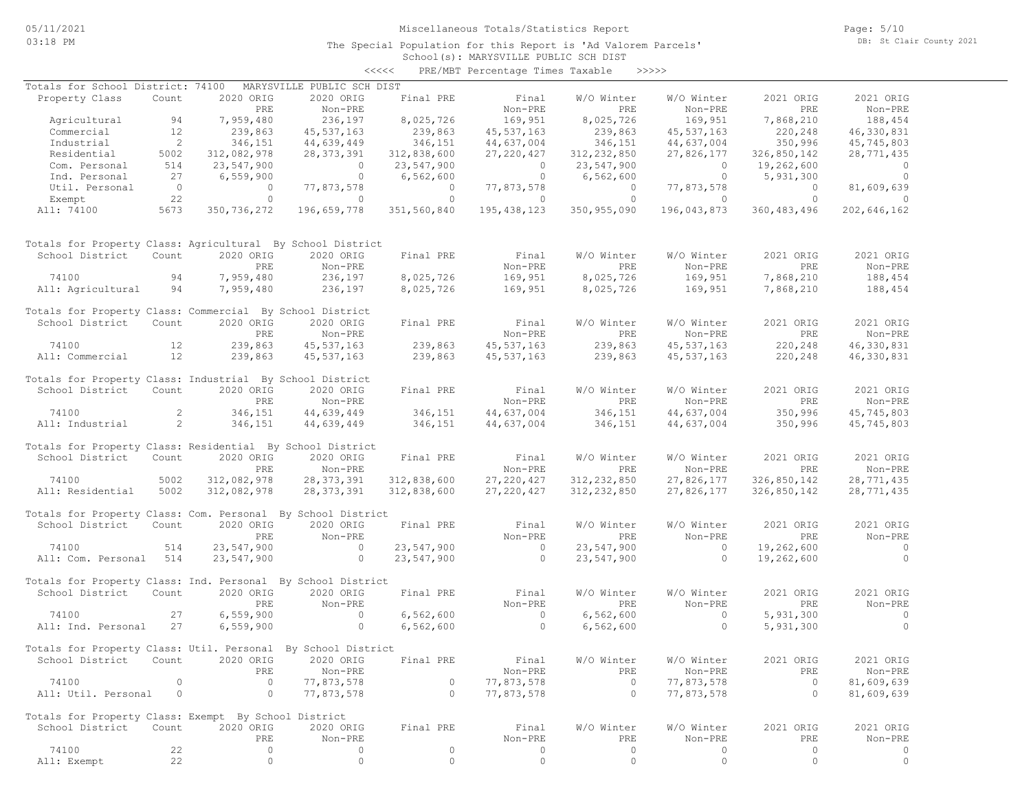The Special Population for this Report is 'Ad Valorem Parcels'

Page: 5/10 DB: St Clair County 2021

### School(s): MARYSVILLE PUBLIC SCH DIST <<<<< PRE/MBT Percentage Times Taxable >>>>>

| Totals for School District: 74100                            |                          |                | MARYSVILLE PUBLIC SCH DIST            |                                 |                                       |                               |                |                                           |                                       |
|--------------------------------------------------------------|--------------------------|----------------|---------------------------------------|---------------------------------|---------------------------------------|-------------------------------|----------------|-------------------------------------------|---------------------------------------|
| Property Class                                               | Count                    | 2020 ORIG      | 2020 ORIG                             | Final PRE                       | Final                                 | W/O Winter                    | W/O Winter     | 2021 ORIG                                 | 2021 ORIG                             |
|                                                              |                          | PRE            | Non-PRE                               |                                 | Non-PRE                               | PRE                           | Non-PRE        | PRE                                       | Non-PRE                               |
| Agricultural 94                                              |                          | 7,959,480      | 236, 197                              | 8,025,726                       | 169,951                               | 8,025,726                     | 169,951        | 7,868,210                                 | 188,454                               |
| Commercial                                                   | 12                       | 239,863        | 45,537,163                            |                                 | 45,537,163                            | 239,863                       | 45,537,163     |                                           | 46,330,831                            |
| Industrial                                                   | $\overline{\phantom{a}}$ | 346,151        | 44,639,449                            | 239,863<br>346,151              | 44,637,004                            | 346,151                       | 44,637,004     | 220,248<br>350,996                        | 45,745,803                            |
| Residential                                                  | 5002                     | 312,082,978    | 28,373,391                            | 312,838,600                     | 27, 220, 427                          | 312,232,850                   | 27,826,177     | 326,850,142                               | 28,771,435                            |
| Com. Personal                                                | 514                      | 23,547,900     | $\overline{a}$                        | 23,547,900                      | $\begin{array}{c} 0 \\ 0 \end{array}$ | 23,547,900                    | $\overline{0}$ | 19,262,600                                | $\overline{0}$                        |
| Ind. Personal                                                | 27                       | 6,559,900      | $\overline{0}$                        | 6,562,600                       |                                       | 6,562,600                     | $\overline{0}$ | 5,931,300                                 | $\overline{0}$                        |
| Util. Personal                                               | $\overline{0}$           | $\overline{0}$ | 77,873,578                            | $\hfill\ensuremath{\mathsf{O}}$ | 77,873,578                            | $\overline{0}$                | 77,873,578     | $\overline{0}$                            | 81,609,639                            |
| Exempt                                                       | 22                       | $\circ$        | $\overline{0}$                        | $\overline{0}$                  | $\overline{0}$                        | $\overline{0}$                | $\sim$ 0       | $\overline{0}$                            | $\sim$ 0                              |
| All: 74100                                                   | 5673                     | 350,736,272    | 196,659,778                           | 351,560,840                     | 195,438,123                           |                               |                | 350, 955, 090 196, 043, 873 360, 483, 496 | 202,646,162                           |
| Totals for Property Class: Agricultural By School District   |                          |                |                                       |                                 |                                       |                               |                |                                           |                                       |
| School District                                              | Count                    | 2020 ORIG      | 2020 ORIG                             | Final PRE                       | Final                                 | W/O Winter                    | W/O Winter     | 2021 ORIG                                 | 2021 ORIG                             |
|                                                              |                          | PRE            | Non-PRE                               |                                 | Non-PRE                               | PRE                           | Non-PRE        | PRE                                       | Non-PRE                               |
| 74100                                                        | 94                       | 7,959,480      | 236,197                               | 8,025,726                       |                                       | 169,951 8,025,726             | 169,951        | 7,868,210                                 | 188,454                               |
| All: Agricultural                                            | 94                       | 7,959,480      | 236,197                               | 8,025,726                       | 169,951                               | 8,025,726                     | 169,951        | 7,868,210                                 | 188,454                               |
| Totals for Property Class: Commercial By School District     |                          |                |                                       |                                 |                                       |                               |                |                                           |                                       |
| School District Count                                        |                          | 2020 ORIG      | 2020 ORIG                             | Final PRE                       | Final                                 | W/O Winter                    | W/O Winter     | 2021 ORIG                                 | 2021 ORIG                             |
|                                                              |                          | PRE            | Non-PRE                               |                                 | Non-PRE                               | PRE                           | Non-PRE        | PRE                                       | Non-PRE                               |
| 12<br>74100                                                  |                          | 239,863        | 45,537,163                            | 239,863                         | 45, 537, 163                          | 239,863                       | 45, 537, 163   | 220,248                                   | 46,330,831                            |
| All: Commercial 12                                           |                          | 239,863        | 45,537,163                            | 239,863                         | 45,537,163                            | 239,863                       | 45,537,163     | 220,248                                   | 46,330,831                            |
| Totals for Property Class: Industrial By School District     |                          |                |                                       |                                 |                                       |                               |                |                                           |                                       |
| School District                                              | Count                    | 2020 ORIG      | 2020 ORIG                             | Final PRE                       | Final                                 | W/O Winter                    | W/O Winter     | 2021 ORIG                                 | 2021 ORIG                             |
|                                                              |                          | PRE            | Non-PRE                               |                                 | Non-PRE                               | PRE                           | Non-PRE        | PRE                                       | Non-PRE                               |
| 74100                                                        | $\overline{2}$           | 346,151        | 44,639,449                            |                                 | 44,637,004                            |                               | 44,637,004     |                                           | 45,745,803                            |
| All: Industrial                                              | $\sim$ 2                 | 346,151        | 44,639,449                            | 346,151<br>346,151              | 44,637,004                            | 346,151<br>346,151<br>346,151 | 44,637,004     | 350,996<br>350,996                        | 45,745,803                            |
|                                                              |                          |                |                                       |                                 |                                       |                               |                |                                           |                                       |
| Totals for Property Class: Residential By School District    |                          |                |                                       |                                 |                                       |                               |                |                                           |                                       |
| School District                                              | Count                    | 2020 ORIG      | 2020 ORIG                             | Final PRE                       | Final                                 | W/O Winter                    | W/O Winter     | 2021 ORIG                                 | 2021 ORIG                             |
|                                                              |                          | PRE            | Non-PRE                               |                                 | Non-PRE                               | PRE                           | Non-PRE        | PRE                                       | Non-PRE                               |
| 74100                                                        | 5002                     | 312,082,978    | 28, 373, 391                          | 312,838,600                     | 27,220,427                            | 312, 232, 850                 | 27,826,177     | 326,850,142                               | 28,771,435                            |
| All: Residential                                             | 5002                     | 312,082,978    | 28,373,391                            | 312,838,600                     | 27,220,427                            | 312, 232, 850                 | 27,826,177     | 326,850,142                               | 28,771,435                            |
| Totals for Property Class: Com. Personal By School District  |                          |                |                                       |                                 |                                       |                               |                |                                           |                                       |
| School District Count                                        |                          | 2020 ORIG      | 2020 ORIG                             | Final PRE                       | Final                                 | W/O Winter                    | W/O Winter     | 2021 ORIG                                 | 2021 ORIG                             |
|                                                              |                          | PRE            | Non-PRE                               |                                 | Non-PRE                               | PRE                           | Non-PRE        | PRE                                       | Non-PRE                               |
| 74100                                                        | 514                      | 23,547,900     | $\overline{0}$                        | 23,547,900                      | $\overline{0}$                        | 23,547,900                    | $\sim$ 0       | 19,262,600                                | $\begin{array}{c} 0 \\ 0 \end{array}$ |
| All: Com. Personal 514                                       |                          | 23,547,900     | $\sim$ 0                              | 23,547,900                      | $\overline{0}$                        | 23,547,900                    | $\overline{0}$ | 19,262,600                                | $\overline{0}$                        |
| Totals for Property Class: Ind. Personal By School District  |                          |                |                                       |                                 |                                       |                               |                |                                           |                                       |
| School District                                              | Count                    | 2020 ORIG      | 2020 ORIG                             | Final PRE                       | Final                                 | W/O Winter                    | W/O Winter     | 2021 ORIG                                 | 2021 ORIG                             |
|                                                              |                          | PRE            | Non-PRE                               |                                 | Non-PRE                               | PRE                           | Non-PRE        | PRE                                       | Non-PRE                               |
| 74100                                                        | 27                       | 6,559,900      | $\sim$ 0                              | 6,562,600                       | $\sim$ 0                              | 6,562,600                     | $\sim$ 0       | 5,931,300                                 | $\sim$ 0                              |
| All: Ind. Personal                                           | 27                       | 6,559,900      | $\begin{array}{c} 0 \\ 0 \end{array}$ | 6,562,600                       | $\overline{a}$                        | 6,562,600                     | $\circ$        | 5,931,300                                 | $\Omega$                              |
|                                                              |                          |                |                                       |                                 |                                       |                               |                |                                           |                                       |
| Totals for Property Class: Util. Personal By School District |                          |                |                                       |                                 |                                       |                               |                |                                           |                                       |
| School District Count 2020 ORIG 2020 ORIG Final PRE          |                          |                |                                       |                                 | Final                                 | W/O Winter                    | W/O Winter     | 2021 ORIG                                 | 2021 ORIG                             |
|                                                              |                          | PRE            | Non-PRE                               |                                 | Non-PRE                               | PRE                           | Non-PRE        | PRE                                       | Non-PRE                               |
| 74100                                                        | 0                        | $\circ$        | 77,873,578                            | $\circ$                         | 77,873,578                            | $\circ$                       | 77,873,578     | $\overline{0}$                            | 81,609,639                            |
| All: Util. Personal                                          | $\circ$                  | $\circ$        | 77,873,578                            | $\circ$                         | 77,873,578                            | $\circ$                       | 77,873,578     | $\circ$                                   | 81,609,639                            |
| Totals for Property Class: Exempt By School District         |                          |                |                                       |                                 |                                       |                               |                |                                           |                                       |
| School District                                              | Count                    | 2020 ORIG      | 2020 ORIG                             | Final PRE                       | Final                                 | W/O Winter                    | W/O Winter     | 2021 ORIG                                 | 2021 ORIG                             |
|                                                              |                          | PRE            | Non-PRE                               |                                 | Non-PRE                               | PRE                           | Non-PRE        | PRE                                       | Non-PRE                               |
| 74100                                                        | 22                       | 0              | 0                                     | $\circ$                         | 0                                     | $\circ$                       | 0              | $\circ$                                   | 0                                     |
| All: Exempt                                                  | 22                       | $\circ$        | $\circ$                               | $\circ$                         | $\circ$                               | $\mathbf{0}$                  | $\circ$        | $\circ$                                   | $\circ$                               |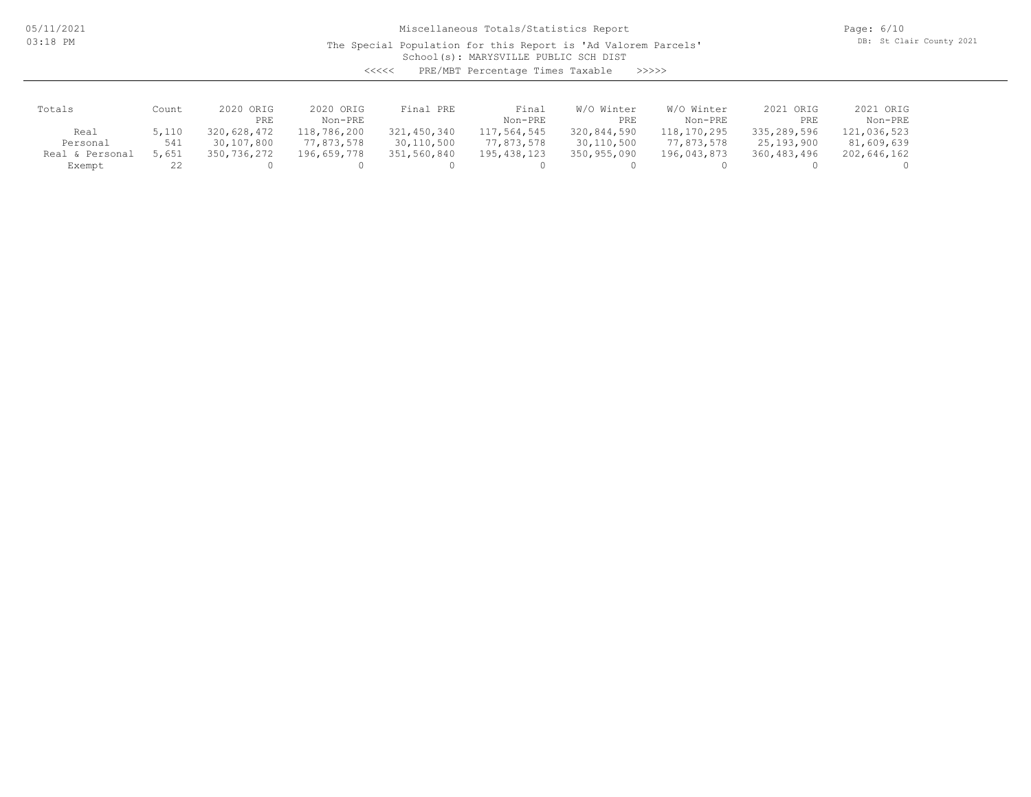05/11/2021 03:18 PM

## Miscellaneous Totals/Statistics Report

The Special Population for this Report is 'Ad Valorem Parcels'

Page: 6/10 DB: St Clair County 2021

School(s): MARYSVILLE PUBLIC SCH DIST

| くくくくく | PRE/MBT Percentage Times Taxable |  |  | >>>>> |
|-------|----------------------------------|--|--|-------|
|-------|----------------------------------|--|--|-------|

| Totals          | Count | 2020 ORIG   | 2020 ORIG   | Final PRE   | Final         | W/O Winter  | W/O Winter  | 2021 ORIG   | 2021 ORIG   |
|-----------------|-------|-------------|-------------|-------------|---------------|-------------|-------------|-------------|-------------|
|                 |       | PRE         | Non-PRE     |             | Non-PRE       | PRE         | Non-PRE     | PRE         | Non-PRE     |
| Real            | 5,110 | 320,628,472 | 118,786,200 | 321,450,340 | 117,564,545   | 320,844,590 | 118,170,295 | 335,289,596 | 121,036,523 |
| Personal        | 541   | 30,107,800  | 77,873,578  | 30,110,500  | 77,873,578    | 30,110,500  | 77,873,578  | 25,193,900  | 81,609,639  |
| Real & Personal | 5,651 | 350,736,272 | 196,659,778 | 351,560,840 | 195, 438, 123 | 350,955,090 | 196,043,873 | 360,483,496 | 202,646,162 |
| Exempt          | 22    |             |             |             |               |             |             |             |             |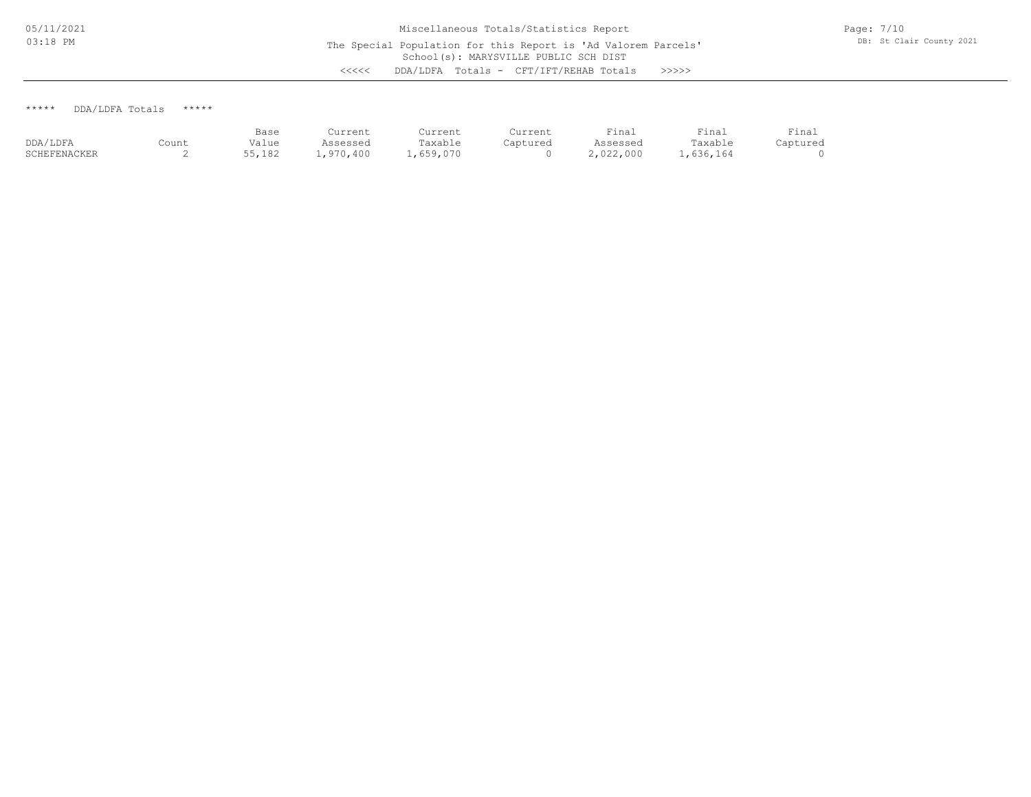\*\*\*\*\* DDA/LDFA Totals \*\*\*\*\*

|              |       | Base   | Current   | Current  | Current  | Fina <sub>1</sub> | Final     | Final    |
|--------------|-------|--------|-----------|----------|----------|-------------------|-----------|----------|
| DDA/LDFA     | Count | Value  | Assessed  | Taxable  | Captured | Assessed          | Taxable   | Captured |
| SCHEFENACKER | -     | 55,182 | .,970,400 | .659.070 |          | 2,022,000         | 1,636,164 |          |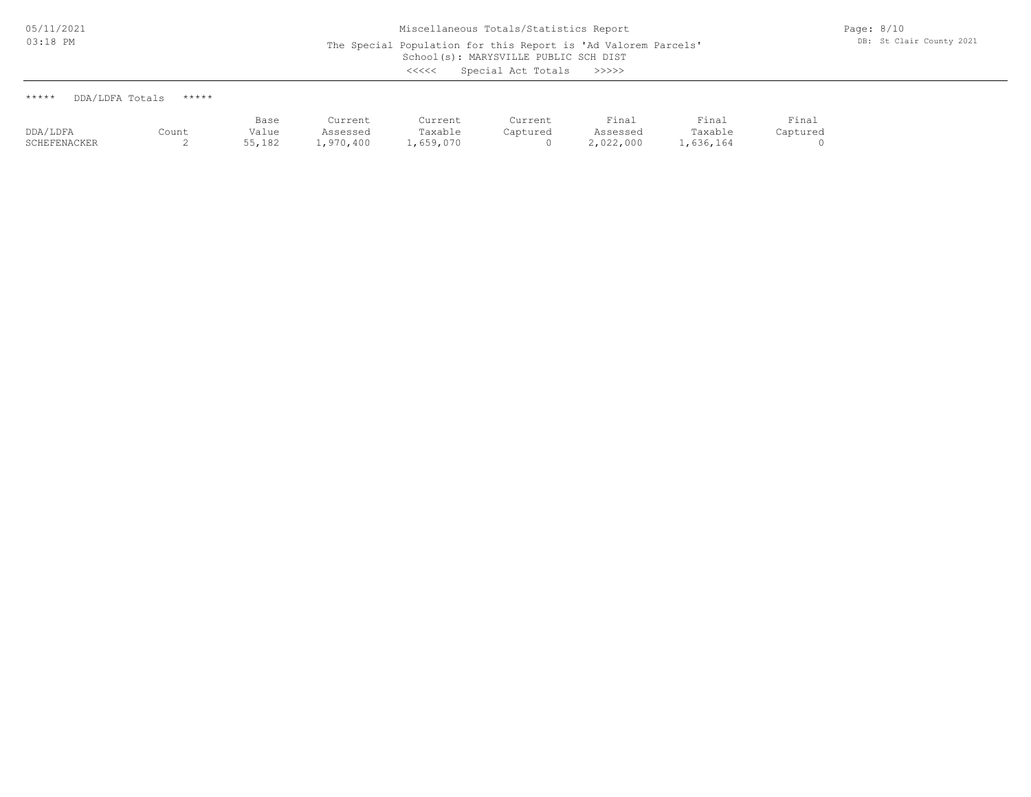\*\*\*\*\* DDA/LDFA Totals \*\*\*\*\*

|                |       | Base          | د ما ب<br>.                 | ---       | -----        | - -<br>'ına⊥ | Final | — <b>·</b><br>⊥rna⊥ |
|----------------|-------|---------------|-----------------------------|-----------|--------------|--------------|-------|---------------------|
| DDA/LDFA       | Count | 'alue         |                             | アっぴっト     | $-0.1 - 0.0$ |              |       |                     |
| ______________ |       | $- - - - - -$ | $\sim$ $\sim$ $\sim$ $\sim$ | $      -$ |              | .            |       |                     |

SCHEFENACKER 2 55,182 1,970,400 1,659,070 0 2,022,000 1,636,164 0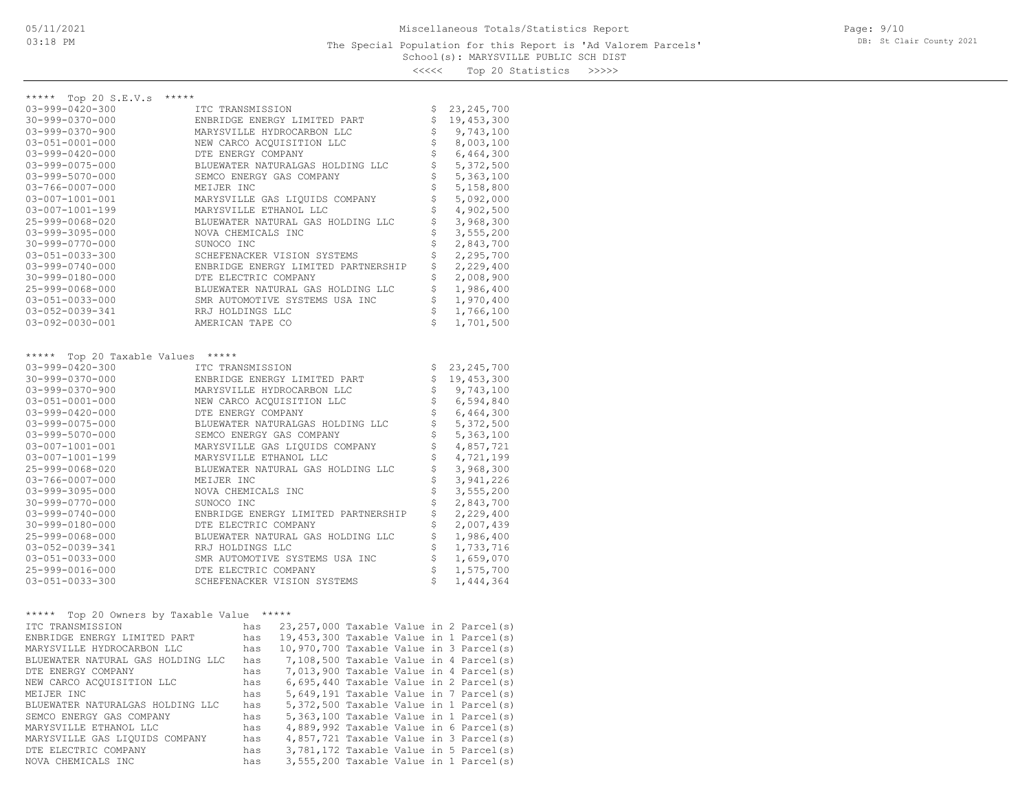### School(s): MARYSVILLE PUBLIC SCH DIST The Special Population for this Report is 'Ad Valorem Parcels'

Page: 9/10 DB: St Clair County 2021

<<<<< Top 20 Statistics >>>>>

| ***** Top 20 S.E.V.s<br>*****                   |                                                    |                    |
|-------------------------------------------------|----------------------------------------------------|--------------------|
| $03 - 999 - 0420 - 300$                         | ITC TRANSMISSION                                   | \$<br>23, 245, 700 |
| 30-999-0370-000                                 | ENBRIDGE ENERGY LIMITED PART                       | \$<br>19, 453, 300 |
| $03 - 999 - 0370 - 900$                         | MARYSVILLE HYDROCARBON LLC                         | \$<br>9,743,100    |
| $03 - 051 - 0001 - 000$                         | NEW CARCO ACQUISITION LLC                          | \$<br>8,003,100    |
| $03 - 999 - 0420 - 000$                         | DTE ENERGY COMPANY                                 | \$<br>6,464,300    |
| $03 - 999 - 0075 - 000$                         | BLUEWATER NATURALGAS HOLDING LLC                   | \$<br>5,372,500    |
| $03 - 999 - 5070 - 000$                         | SEMCO ENERGY GAS COMPANY                           | \$<br>5,363,100    |
| $03 - 766 - 0007 - 000$                         | MEIJER INC                                         | \$<br>5,158,800    |
| $03 - 007 - 1001 - 001$                         | MARYSVILLE GAS LIQUIDS COMPANY                     | \$<br>5,092,000    |
| $03 - 007 - 1001 - 199$                         | MARYSVILLE ETHANOL LLC                             | \$<br>4,902,500    |
| 25-999-0068-020                                 | BLUEWATER NATURAL GAS HOLDING LLC                  | \$<br>3,968,300    |
| $03 - 999 - 3095 - 000$                         | NOVA CHEMICALS INC                                 | \$<br>3,555,200    |
| $30 - 999 - 0770 - 000$                         | SUNOCO INC                                         | \$<br>2,843,700    |
| 03-051-0033-300                                 | SCHEFENACKER VISION SYSTEMS                        | \$<br>2,295,700    |
| $03 - 999 - 0740 - 000$                         | ENBRIDGE ENERGY LIMITED PARTNERSHIP                | \$<br>2,229,400    |
| $30 - 999 - 0180 - 000$                         | DTE ELECTRIC COMPANY                               | \$<br>2,008,900    |
| 25-999-0068-000                                 | BLUEWATER NATURAL GAS HOLDING LLC                  | \$<br>1,986,400    |
| $03 - 051 - 0033 - 000$                         | SMR AUTOMOTIVE SYSTEMS USA INC                     | \$<br>1,970,400    |
| 03-052-0039-341                                 | RRJ HOLDINGS LLC                                   | \$<br>1,766,100    |
| $03 - 092 - 0030 - 001$                         | AMERICAN TAPE CO                                   | \$<br>1,701,500    |
|                                                 |                                                    |                    |
|                                                 |                                                    |                    |
| *****<br>Top 20 Taxable Values                  | $******$                                           |                    |
| $03 - 999 - 0420 - 300$                         | ITC TRANSMISSION                                   | \$<br>23, 245, 700 |
| 30-999-0370-000                                 | ENBRIDGE ENERGY LIMITED PART                       | \$<br>19, 453, 300 |
| $03 - 999 - 0370 - 900$                         | MARYSVILLE HYDROCARBON LLC                         | \$<br>9,743,100    |
| $03 - 051 - 0001 - 000$                         | NEW CARCO ACOUISITION LLC                          | \$<br>6,594,840    |
| $03 - 999 - 0420 - 000$                         | DTE ENERGY COMPANY                                 | \$<br>6,464,300    |
| $03 - 999 - 0075 - 000$                         | BLUEWATER NATURALGAS HOLDING LLC                   | \$<br>5,372,500    |
| $03 - 999 - 5070 - 000$                         | SEMCO ENERGY GAS COMPANY                           | \$<br>5,363,100    |
| $03 - 007 - 1001 - 001$                         | MARYSVILLE GAS LIQUIDS COMPANY                     | \$<br>4,857,721    |
| $03 - 007 - 1001 - 199$                         | MARYSVILLE ETHANOL LLC                             | \$<br>4,721,199    |
| 25-999-0068-020                                 | BLUEWATER NATURAL GAS HOLDING LLC                  | \$<br>3,968,300    |
| $03 - 766 - 0007 - 000$                         | MEIJER INC                                         | \$<br>3,941,226    |
| 03-999-3095-000                                 | NOVA CHEMICALS INC                                 | \$<br>3,555,200    |
| $30 - 999 - 0770 - 000$                         | SUNOCO INC                                         | \$<br>2,843,700    |
| $03 - 999 - 0740 - 000$                         | ENBRIDGE ENERGY LIMITED PARTNERSHIP                | \$<br>2,229,400    |
| 30-999-0180-000                                 | DTE ELECTRIC COMPANY                               | \$<br>2,007,439    |
| 25-999-0068-000                                 | BLUEWATER NATURAL GAS HOLDING LLC                  | \$<br>1,986,400    |
| 03-052-0039-341                                 | RRJ HOLDINGS LLC                                   | \$<br>1,733,716    |
| 03-051-0033-000                                 | SMR AUTOMOTIVE SYSTEMS USA INC                     | \$<br>1,659,070    |
| 25-999-0016-000                                 | DTE ELECTRIC COMPANY                               | \$<br>1,575,700    |
| $03 - 051 - 0033 - 300$                         | SCHEFENACKER VISION SYSTEMS                        | \$<br>1,444,364    |
|                                                 |                                                    |                    |
|                                                 |                                                    |                    |
| $***$ * * * *<br>Top 20 Owners by Taxable Value | $***$ * * * *                                      |                    |
| ITC TRANSMISSION                                | $23, 257, 000$ Taxable Value in 2 Parcel(s)<br>has |                    |
| ENBRIDGE ENERGY LIMITED PART                    | 19,453,300 Taxable Value in 1 Parcel(s)<br>has     |                    |
| MARYSVILLE HYDROCARBON LLC                      | 10,970,700 Taxable Value in 3 Parcel(s)<br>has     |                    |
| BLUEWATER NATURAL GAS HOLDING LLC               | 7,108,500 Taxable Value in 4 Parcel(s)<br>has      |                    |
| DTE ENERGY COMPANY                              | 7,013,900 Taxable Value in 4 Parcel(s)<br>has      |                    |
| NEW CARCO ACOUISITION LLC                       | $6,695,440$ Taxable Value in 2 Parcel(s)<br>has    |                    |
| MEIJER INC                                      | 5,649,191 Taxable Value in 7 Parcel(s)<br>has      |                    |

NOVA CHEMICALS INC has 3,555,200 Taxable Value in 1 Parcel(s) DTE ELECTRIC COMPANY has 3,781,172 Taxable Value in 5 Parcel(s) MARYSVILLE GAS LIQUIDS COMPANY has 4,857,721 Taxable Value in 3 Parcel(s) MARYSVILLE ETHANOL LLC has 4,889,992 Taxable Value in 6 Parcel(s) SEMCO ENERGY GAS COMPANY has the structure in the server of the server of the server of the STAG COMPANY in the STAG COMPANY of the USING COMPANY of the STAG COMPANY of the STAG COMPANY of the STAG COMPANY of the STAG COMP BLUEWATER NATURALGAS HOLDING LLC has 5,372,500 Taxable Value in 1 Parcel(s)